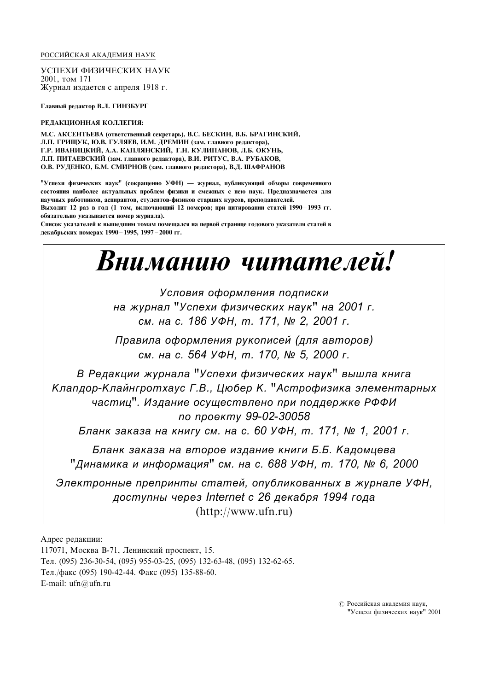#### РОССИЙСКАЯ АКАДЕМИЯ НАУК

УСПЕХИ ФИЗИЧЕСКИХ НАУК 2001, том 171 Журнал издается с апреля 1918 г.

Главный редактор В.Л. ГИНЗБУРГ

#### РЕДАКЦИОННАЯ КОЛЛЕГИЯ:

М.С. АКСЕНТЬЕВА (ОТВЕТСТВЕННЫЙ СЕКРЕТАРЬ), В.С. БЕСКИН, В.Б. БРАГИНСКИЙ, Л.П. ГРИЩУК, Ю.В. ГУЛЯЕВ, И.М. ДРЕМИН (зам. главного редактора), Г.Р. ИВАНИЦКИЙ, А.А. КАПЛЯНСКИЙ, Г.Н. КУЛИПАНОВ, Л.Б. ОКУНЬ, ЈІ.П. ПИТАЕВСКИЙ (зам. главного редактора), В.И. РИТУС, В.А. РУБАКОВ, О.В. РУДЕНКО, Б.М. СМИРНОВ (зам. главного редактора), В.Д. ШАФРАНОВ

"Успехи физических наук" (сокращенно УФН) — журнал, публикующий обзоры современного Состояния наиболее актуальных проблем физики и смежных с нею наук. Предназначается для научных работников, аспирантов, студентов-физиков старших курсов, преподавателей. Выходит 12 раз в год (1 том, включающий 12 номеров; при цитировании статей 1990-1993 гг. обязательно указывается номер журнала).

Список указателей к выпіеліним томам помешался на первой странице голового указателя статей в декабрьских номерах 1990 - 1995, 1997 - 2000 гг.

# Вниманию читателей!

Условия оформления подписки на журнал "Успехи физических наук" на 2001 г. см. на с. 186 УФН, т. 171, № 2, 2001 г.

Правила оформления рукописей (для авторов) см. на с. 564 УФН, т. 170, № 5, 2000 г.

В Редакции журнала "Успехи физических наук" вышла книга Клапдор-Клайнгротхаус Г.В., Цюбер К. "Астрофизика элементарных частиц". Издание осуществлено при поддержке РФФИ по проекту 99-02-30058

Бланк заказа на книгу см. на с. 60 УФН, т. 171, № 1, 2001 г.

Бланк заказа на второе издание книги Б.Б. Кадомцева  $"$ Динамика и информация" см. на с. 688 УФН, т. 170,  $N$  $\square$  6, 2000

Электронные препринты статей, опубликованных в журнале УФН. доступны через Internet с 26 декабря 1994 года (http://www.ufn.ru)

Адрес редакции:

117071, Москва В-71, Ленинский проспект, 15. Тел. (095) 236-30-54, (095) 955-03-25, (095) 132-63-48, (095) 132-62-65. Тел./факс (095) 190-42-44. Факс (095) 135-88-60. E-mail: ufn@ufn.ru

> © Российская академия наук, "Успехи физических наук" 2001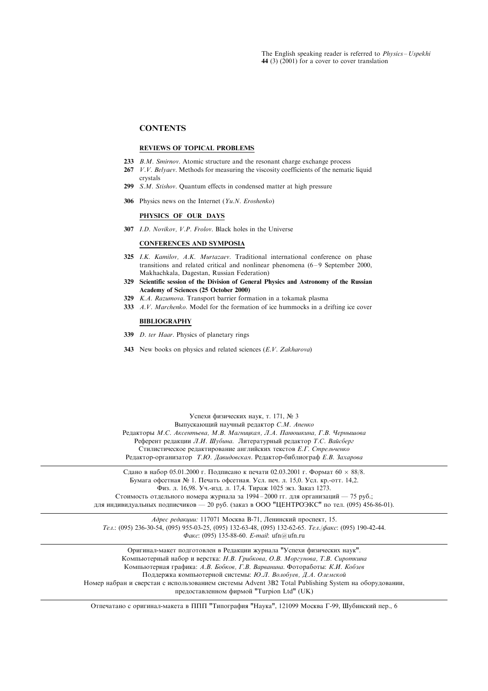#### **CONTENTS**

## REVIEWS OF TOPICAL PROBLEMS

- 233 B.M. Smirnov. Atomic structure and the resonant charge exchange process
- $267$  V.V. Belyaev. Methods for measuring the viscosity coefficients of the nematic liquid crystals
- 299 S.M. Stishov. Quantum effects in condensed matter at high pressure
- 306 Physics news on the Internet  $(Yu.N. Eroshenko)$

#### PHYSICS OF OUR DAYS

307 I.D. Novikov, V.P. Frolov. Black holes in the Universe

CONFERENCES AND SYMPOSIA

- 325 I.K. Kamilov, A.K. Murtazaev. Traditional international conference on phase transitions and related critical and nonlinear phenomena  $(6-9$  September 2000, Makhachkala, Dagestan, Russian Federation)
- 329 Scientific session of the Division of General Physics and Astronomy of the Russian Academy of Sciences (25 October 2000)
- 329 K.A. Razumova. Transport barrier formation in a tokamak plasma
- 333 A.V. Marchenko. Model for the formation of ice hummocks in a drifting ice cover

#### BIBLIOGRAPHY

- 339 D. ter Haar. Physics of planetary rings
- 343 New books on physics and related sciences (E.V. Zakharova)

Успехи физических наук, т. 171, № 3 Выпускающий научный редактор С.М. Апенко Редакторы М.С. Аксентьева, М.В. Магницкая, Л.А. Панюшкина, Г.В. Чернышова Референт редакции Л.И. Шубина. Литературный редактор Т.С. Вайсберг Стилистическое редактирование английских текстов Е.Г. Стрельченко Редактор-организатор Т.Ю. Давидовская. Редактор-библиограф Е.В. Захарова

Сдано в набор 05.01.2000 г. Подписано к печати 02.03.2001 г. Формат 60  $\times$  88/8. Бумага офсетная № 1. Печать офсетная. Усл. печ. л. 15,0. Усл. кр.-отт. 14,2. Физ. л. 16,98. Уч.-изд. л. 17,4. Тираж 1025 экз. Заказ 1273. Стоимость отдельного номера журнала за 1994-2000 гг. для организаций - 75 руб.;

для индивидуальных подписчиков - 20 руб. (заказ в ООО "ЦЕНТРОЭКС" по тел. (095) 456-86-01).

Адрес редакции: 117071 Москва В-71, Ленинский проспект, 15. Tea.: (095) 236-30-54, (095) 955-03-25, (095) 132-63-48, (095) 132-62-65. Tea./ $\phi$ akc: (095) 190-42-44. ¶ÂÍÔ: (095) 135-88-60. E-mail: ufn@ufn.ru

Оригинал-макет подготовлен в Редакции журнала "Успехи физических наук". Компьютерный набор и верстка: Н.В. Грибкова, О.В. Моргунова, Т.В. Сироткина Компьютерная графика: А.В. Бобков, Г.В. Варванина. Фотоработы: К.И. Кобзев Поддержка компьютерной системы: Ю.Л. Волобуев, Д.А. Олемской Номер набран и сверстан с использованием системы Advent 3B2 Total Publishing System на оборудовании, предоставленном фирмой "Turpion Ltd" (UK)

Отпечатано с оригинал-макета в ППП "Типография "Наука", 121099 Москва Г-99, Шубинский пер., 6